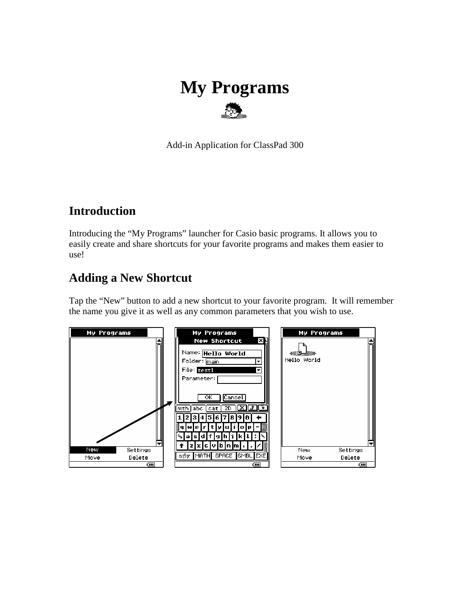# **My Programs**

Add-in Application for ClassPad 300

#### **Introduction**

Introducing the "My Programs" launcher for Casio basic programs. It allows you to easily create and share shortcuts for your favorite programs and makes them easier to use!

#### **Adding a New Shortcut**

Tap the "New" button to add a new shortcut to your favorite program. It will remember the name you give it as well as any common parameters that you wish to use.

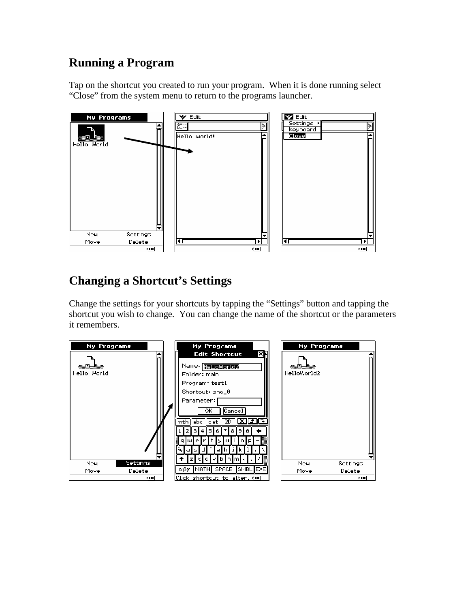## **Running a Program**

Tap on the shortcut you created to run your program. When it is done running select "Close" from the system menu to return to the programs launcher.



## **Changing a Shortcut's Settings**

Change the settings for your shortcuts by tapping the "Settings" button and tapping the shortcut you wish to change. You can change the name of the shortcut or the parameters it remembers.

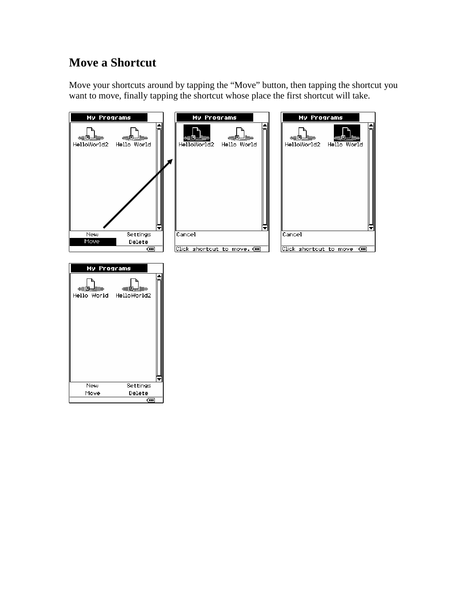#### **Move a Shortcut**

Move your shortcuts around by tapping the "Move" button, then tapping the shortcut you want to move, finally tapping the shortcut whose place the first shortcut will take.